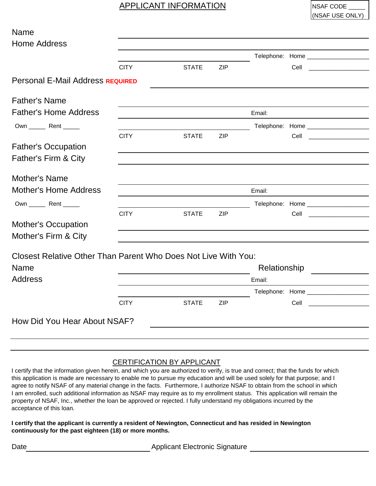## APPLICANT INFORMATION NSAF CODE

(NSAF USE ONLY)

| Name                                                           |             |              |            |              |                                                                                                                               |  |
|----------------------------------------------------------------|-------------|--------------|------------|--------------|-------------------------------------------------------------------------------------------------------------------------------|--|
| <b>Home Address</b>                                            |             |              |            |              |                                                                                                                               |  |
|                                                                |             |              |            |              |                                                                                                                               |  |
|                                                                | <b>CITY</b> | <b>STATE</b> | <b>ZIP</b> |              | Cell<br><u> 1980 - Alexandr Alexandr III, prima populație de la proprietat de la proprietat de la proprietat de la propri</u> |  |
| Personal E-Mail Address REQUIRED                               |             |              |            |              |                                                                                                                               |  |
| <b>Father's Name</b>                                           |             |              |            |              |                                                                                                                               |  |
| <b>Father's Home Address</b>                                   |             |              |            | Email:       |                                                                                                                               |  |
| Own _________ Rent _______                                     |             |              |            |              | Telephone: Home _____________________                                                                                         |  |
|                                                                | <b>CITY</b> | <b>STATE</b> | <b>ZIP</b> |              | Cell                                                                                                                          |  |
| <b>Father's Occupation</b>                                     |             |              |            |              |                                                                                                                               |  |
| Father's Firm & City                                           |             |              |            |              |                                                                                                                               |  |
| Mother's Name                                                  |             |              |            |              |                                                                                                                               |  |
| <b>Mother's Home Address</b>                                   |             | Email:       |            |              |                                                                                                                               |  |
| Own _______ Rent ______                                        |             |              |            |              | Telephone: Home _____________________                                                                                         |  |
|                                                                | <b>CITY</b> | <b>STATE</b> | <b>ZIP</b> |              | Cell                                                                                                                          |  |
| <b>Mother's Occupation</b><br>Mother's Firm & City             |             |              |            |              |                                                                                                                               |  |
|                                                                |             |              |            |              |                                                                                                                               |  |
| Closest Relative Other Than Parent Who Does Not Live With You: |             |              |            |              |                                                                                                                               |  |
|                                                                |             |              |            | Relationship |                                                                                                                               |  |
|                                                                |             |              |            |              |                                                                                                                               |  |
|                                                                |             |              |            | Email:       |                                                                                                                               |  |
| <b>Name</b><br><b>Address</b>                                  | <b>CITY</b> |              | <b>ZIP</b> |              | Telephone: Home _____________________                                                                                         |  |

## CERTIFICATION BY APPLICANT

I certify that the information given herein, and which you are authorized to verify, is true and correct; that the funds for which this application is made are necessary to enable me to pursue my education and will be used solely for that purpose; and I agree to notify NSAF of any material change in the facts. Furthermore, I authorize NSAF to obtain from the school in which I am enrolled, such additional information as NSAF may require as to my enrollment status. This application will remain the property of NSAF, Inc., whether the loan be approved or rejected. I fully understand my obligations incurred by the acceptance of this loan.

**I certify that the applicant is currently a resident of Newington, Connecticut and has resided in Newington continuously for the past eighteen (18) or more months.**

Date **Date Applicant Electronic Signature**